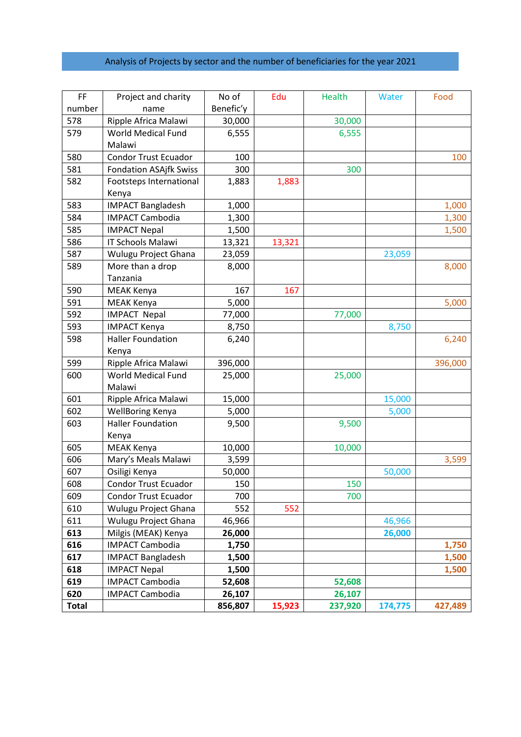## Analysis of Projects by sector and the number of beneficiaries for the year 2021

| FF.          | Project and charity           | No of     | Edu    | Health  | Water   | Food    |
|--------------|-------------------------------|-----------|--------|---------|---------|---------|
| number       | name                          | Benefic'y |        |         |         |         |
| 578          | Ripple Africa Malawi          | 30,000    |        | 30,000  |         |         |
| 579          | World Medical Fund            | 6,555     |        | 6,555   |         |         |
|              | Malawi                        |           |        |         |         |         |
| 580          | <b>Condor Trust Ecuador</b>   | 100       |        |         |         | 100     |
| 581          | <b>Fondation ASAjfk Swiss</b> | 300       |        | 300     |         |         |
| 582          | Footsteps International       | 1,883     | 1,883  |         |         |         |
|              | Kenya                         |           |        |         |         |         |
| 583          | <b>IMPACT Bangladesh</b>      | 1,000     |        |         |         | 1,000   |
| 584          | <b>IMPACT Cambodia</b>        | 1,300     |        |         |         | 1,300   |
| 585          | <b>IMPACT Nepal</b>           | 1,500     |        |         |         | 1,500   |
| 586          | IT Schools Malawi             | 13,321    | 13,321 |         |         |         |
| 587          | Wulugu Project Ghana          | 23,059    |        |         | 23,059  |         |
| 589          | More than a drop              | 8,000     |        |         |         | 8,000   |
|              | Tanzania                      |           |        |         |         |         |
| 590          | MEAK Kenya                    | 167       | 167    |         |         |         |
| 591          | MEAK Kenya                    | 5,000     |        |         |         | 5,000   |
| 592          | <b>IMPACT Nepal</b>           | 77,000    |        | 77,000  |         |         |
| 593          | <b>IMPACT Kenya</b>           | 8,750     |        |         | 8,750   |         |
| 598          | <b>Haller Foundation</b>      | 6,240     |        |         |         | 6,240   |
|              | Kenya                         |           |        |         |         |         |
| 599          | Ripple Africa Malawi          | 396,000   |        |         |         | 396,000 |
| 600          | <b>World Medical Fund</b>     | 25,000    |        | 25,000  |         |         |
|              | Malawi                        |           |        |         |         |         |
| 601          | Ripple Africa Malawi          | 15,000    |        |         | 15,000  |         |
| 602          | WellBoring Kenya              | 5,000     |        |         | 5,000   |         |
| 603          | <b>Haller Foundation</b>      | 9,500     |        | 9,500   |         |         |
|              | Kenya                         |           |        |         |         |         |
| 605          | MEAK Kenya                    | 10,000    |        | 10,000  |         |         |
| 606          | Mary's Meals Malawi           | 3,599     |        |         |         | 3,599   |
| 607          | Osiligi Kenya                 | 50,000    |        |         | 50,000  |         |
| 608          | <b>Condor Trust Ecuador</b>   | 150       |        | 150     |         |         |
| 609          | <b>Condor Trust Ecuador</b>   | 700       |        | 700     |         |         |
| 610          | Wulugu Project Ghana          | 552       | 552    |         |         |         |
| 611          | Wulugu Project Ghana          | 46,966    |        |         | 46,966  |         |
| 613          | Milgis (MEAK) Kenya           | 26,000    |        |         | 26,000  |         |
| 616          | <b>IMPACT Cambodia</b>        | 1,750     |        |         |         | 1,750   |
| 617          | <b>IMPACT Bangladesh</b>      | 1,500     |        |         |         | 1,500   |
| 618          | <b>IMPACT Nepal</b>           | 1,500     |        |         |         | 1,500   |
| 619          | <b>IMPACT Cambodia</b>        | 52,608    |        | 52,608  |         |         |
| 620          | <b>IMPACT Cambodia</b>        | 26,107    |        | 26,107  |         |         |
| <b>Total</b> |                               | 856,807   | 15,923 | 237,920 | 174,775 | 427,489 |